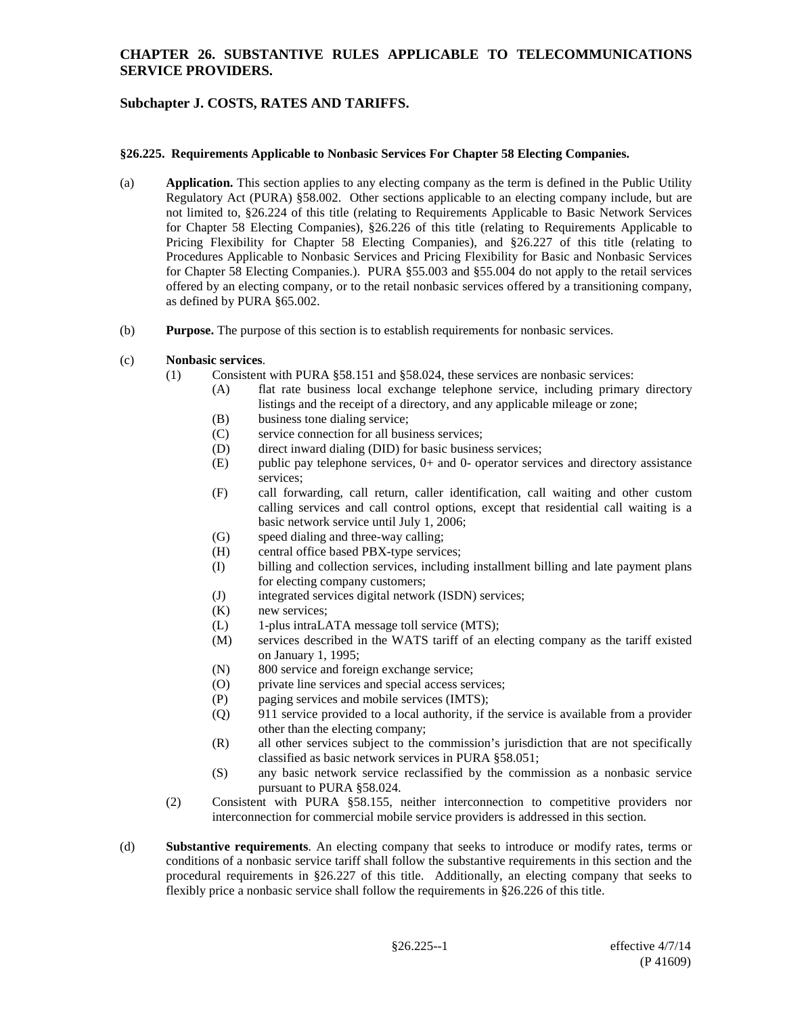## **CHAPTER 26. SUBSTANTIVE RULES APPLICABLE TO TELECOMMUNICATIONS SERVICE PROVIDERS.**

# **Subchapter J. COSTS, RATES AND TARIFFS.**

### **§26.225. Requirements Applicable to Nonbasic Services For Chapter 58 Electing Companies.**

- (a) **Application.** This section applies to any electing company as the term is defined in the Public Utility Regulatory Act (PURA) §58.002. Other sections applicable to an electing company include, but are not limited to, §26.224 of this title (relating to Requirements Applicable to Basic Network Services for Chapter 58 Electing Companies), §26.226 of this title (relating to Requirements Applicable to Pricing Flexibility for Chapter 58 Electing Companies), and §26.227 of this title (relating to Procedures Applicable to Nonbasic Services and Pricing Flexibility for Basic and Nonbasic Services for Chapter 58 Electing Companies.). PURA §55.003 and §55.004 do not apply to the retail services offered by an electing company, or to the retail nonbasic services offered by a transitioning company, as defined by PURA §65.002.
- (b) **Purpose.** The purpose of this section is to establish requirements for nonbasic services.
- (c) **Nonbasic services**.
	- (1) Consistent with PURA §58.151 and §58.024, these services are nonbasic services:
		- (A) flat rate business local exchange telephone service, including primary directory listings and the receipt of a directory, and any applicable mileage or zone;
		- (B) business tone dialing service;
		- (C) service connection for all business services;
		- (D) direct inward dialing (DID) for basic business services;
		- $(E)$  public pay telephone services,  $0+$  and  $0-$  operator services and directory assistance services;
		- (F) call forwarding, call return, caller identification, call waiting and other custom calling services and call control options, except that residential call waiting is a basic network service until July 1, 2006;
		- (G) speed dialing and three-way calling;
		- (H) central office based PBX-type services;
		- (I) billing and collection services, including installment billing and late payment plans for electing company customers;
		- (J) integrated services digital network (ISDN) services;
		- (K) new services;
		- (L) 1-plus intraLATA message toll service (MTS);
		- (M) services described in the WATS tariff of an electing company as the tariff existed on January 1, 1995;
		- (N) 800 service and foreign exchange service;
		- (O) private line services and special access services;
		- (P) paging services and mobile services (IMTS);
		- (Q) 911 service provided to a local authority, if the service is available from a provider other than the electing company;
		- (R) all other services subject to the commission's jurisdiction that are not specifically classified as basic network services in PURA §58.051;
		- (S) any basic network service reclassified by the commission as a nonbasic service pursuant to PURA §58.024.
	- (2) Consistent with PURA §58.155, neither interconnection to competitive providers nor interconnection for commercial mobile service providers is addressed in this section.
- (d) **Substantive requirements**. An electing company that seeks to introduce or modify rates, terms or conditions of a nonbasic service tariff shall follow the substantive requirements in this section and the procedural requirements in §26.227 of this title. Additionally, an electing company that seeks to flexibly price a nonbasic service shall follow the requirements in §26.226 of this title.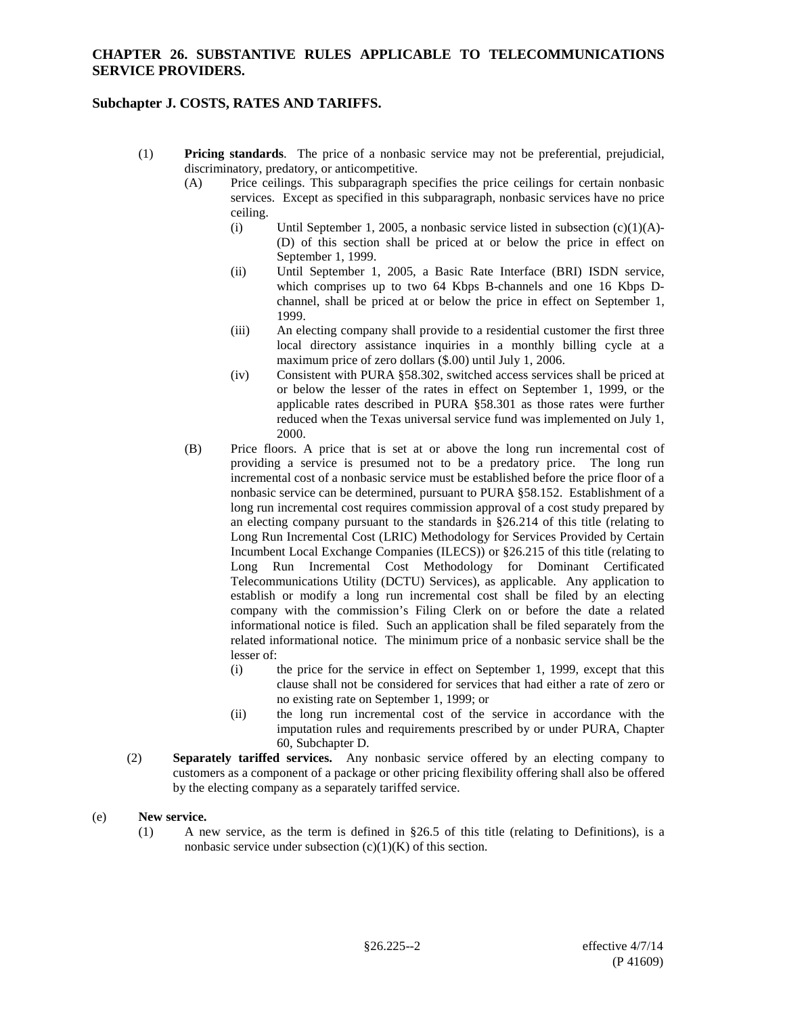## **CHAPTER 26. SUBSTANTIVE RULES APPLICABLE TO TELECOMMUNICATIONS SERVICE PROVIDERS.**

## **Subchapter J. COSTS, RATES AND TARIFFS.**

- (1) **Pricing standards**. The price of a nonbasic service may not be preferential, prejudicial, discriminatory, predatory, or anticompetitive.
	- (A) Price ceilings. This subparagraph specifies the price ceilings for certain nonbasic services. Except as specified in this subparagraph, nonbasic services have no price ceiling.
		- (i) Until September 1, 2005, a nonbasic service listed in subsection  $(c)(1)(A)$ -(D) of this section shall be priced at or below the price in effect on September 1, 1999.
		- (ii) Until September 1, 2005, a Basic Rate Interface (BRI) ISDN service, which comprises up to two 64 Kbps B-channels and one 16 Kbps Dchannel, shall be priced at or below the price in effect on September 1, 1999.
		- (iii) An electing company shall provide to a residential customer the first three local directory assistance inquiries in a monthly billing cycle at a maximum price of zero dollars (\$.00) until July 1, 2006.
		- (iv) Consistent with PURA §58.302, switched access services shall be priced at or below the lesser of the rates in effect on September 1, 1999, or the applicable rates described in PURA §58.301 as those rates were further reduced when the Texas universal service fund was implemented on July 1, 2000.
	- (B) Price floors. A price that is set at or above the long run incremental cost of providing a service is presumed not to be a predatory price. The long run incremental cost of a nonbasic service must be established before the price floor of a nonbasic service can be determined, pursuant to PURA §58.152. Establishment of a long run incremental cost requires commission approval of a cost study prepared by an electing company pursuant to the standards in §26.214 of this title (relating to Long Run Incremental Cost (LRIC) Methodology for Services Provided by Certain Incumbent Local Exchange Companies (ILECS)) or §26.215 of this title (relating to Long Run Incremental Cost Methodology for Dominant Certificated Telecommunications Utility (DCTU) Services), as applicable. Any application to establish or modify a long run incremental cost shall be filed by an electing company with the commission's Filing Clerk on or before the date a related informational notice is filed. Such an application shall be filed separately from the related informational notice. The minimum price of a nonbasic service shall be the lesser of:
		- (i) the price for the service in effect on September 1, 1999, except that this clause shall not be considered for services that had either a rate of zero or no existing rate on September 1, 1999; or
		- (ii) the long run incremental cost of the service in accordance with the imputation rules and requirements prescribed by or under PURA, Chapter 60, Subchapter D.
- (2) **Separately tariffed services.** Any nonbasic service offered by an electing company to customers as a component of a package or other pricing flexibility offering shall also be offered by the electing company as a separately tariffed service.

#### (e) **New service.**

(1) A new service, as the term is defined in §26.5 of this title (relating to Definitions), is a nonbasic service under subsection  $(c)(1)(K)$  of this section.